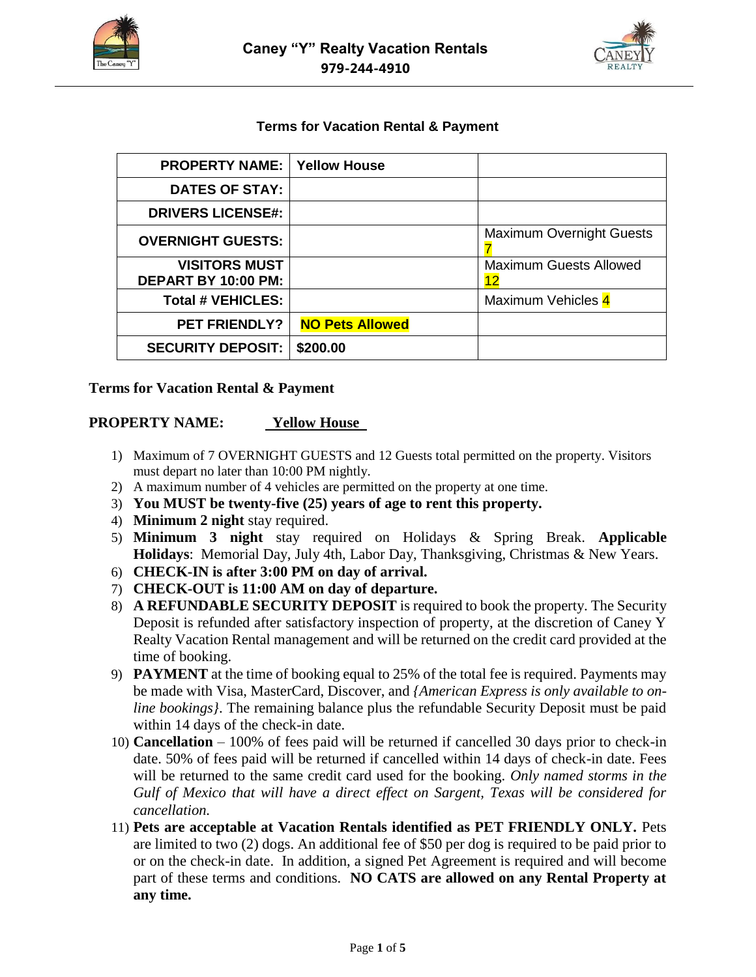



#### **Terms for Vacation Rental & Payment**

| <b>PROPERTY NAME:</b>                       | <b>Yellow House</b>    |                                     |
|---------------------------------------------|------------------------|-------------------------------------|
| <b>DATES OF STAY:</b>                       |                        |                                     |
| <b>DRIVERS LICENSE#:</b>                    |                        |                                     |
| <b>OVERNIGHT GUESTS:</b>                    |                        | <b>Maximum Overnight Guests</b>     |
| <b>VISITORS MUST</b><br>DEPART BY 10:00 PM: |                        | <b>Maximum Guests Allowed</b><br>12 |
| <b>Total # VEHICLES:</b>                    |                        | Maximum Vehicles 4                  |
| <b>PET FRIENDLY?</b>                        | <b>NO Pets Allowed</b> |                                     |
| <b>SECURITY DEPOSIT:</b>                    | \$200.00               |                                     |

#### **Terms for Vacation Rental & Payment**

#### **PROPERTY NAME: Yellow House**

- 1) Maximum of 7 OVERNIGHT GUESTS and 12 Guests total permitted on the property. Visitors must depart no later than 10:00 PM nightly.
- 2) A maximum number of 4 vehicles are permitted on the property at one time.
- 3) **You MUST be twenty-five (25) years of age to rent this property.**
- 4) **Minimum 2 night** stay required.
- 5) **Minimum 3 night** stay required on Holidays & Spring Break. **Applicable Holidays**: Memorial Day, July 4th, Labor Day, Thanksgiving, Christmas & New Years.
- 6) **CHECK-IN is after 3:00 PM on day of arrival.**
- 7) **CHECK-OUT is 11:00 AM on day of departure.**
- 8) **A REFUNDABLE SECURITY DEPOSIT** is required to book the property. The Security Deposit is refunded after satisfactory inspection of property, at the discretion of Caney Y Realty Vacation Rental management and will be returned on the credit card provided at the time of booking.
- 9) **PAYMENT** at the time of booking equal to 25% of the total fee is required. Payments may be made with Visa, MasterCard, Discover, and *{American Express is only available to online bookings}*. The remaining balance plus the refundable Security Deposit must be paid within 14 days of the check-in date.
- 10) **Cancellation**  100% of fees paid will be returned if cancelled 30 days prior to check-in date. 50% of fees paid will be returned if cancelled within 14 days of check-in date. Fees will be returned to the same credit card used for the booking. *Only named storms in the Gulf of Mexico that will have a direct effect on Sargent, Texas will be considered for cancellation.*
- 11) **Pets are acceptable at Vacation Rentals identified as PET FRIENDLY ONLY.** Pets are limited to two (2) dogs. An additional fee of \$50 per dog is required to be paid prior to or on the check-in date. In addition, a signed Pet Agreement is required and will become part of these terms and conditions. **NO CATS are allowed on any Rental Property at any time.**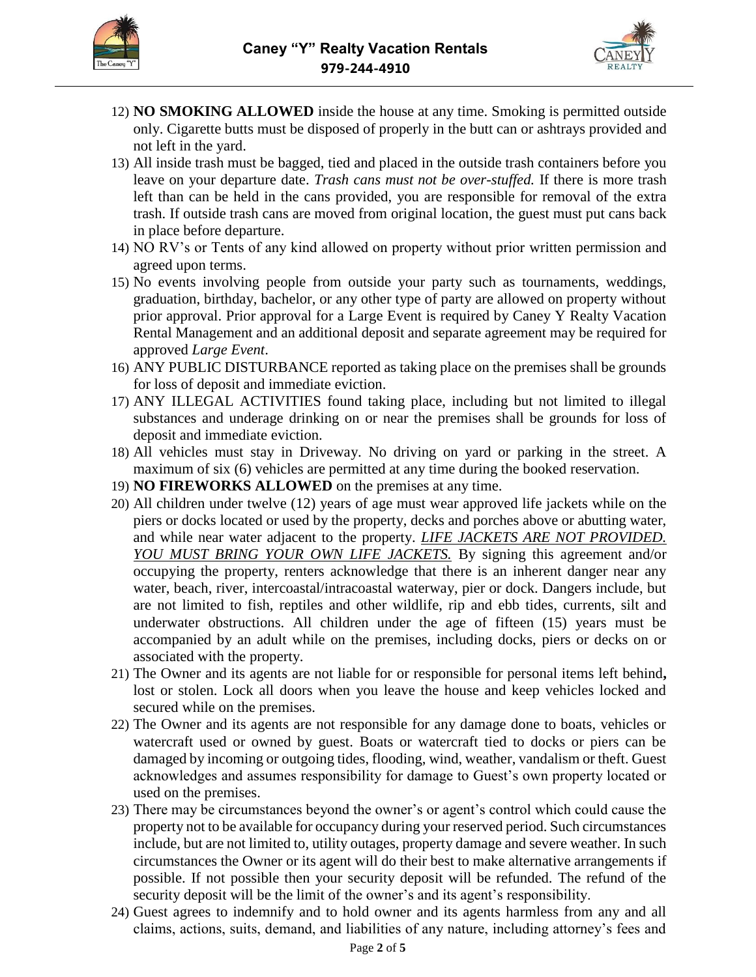



- 12) **NO SMOKING ALLOWED** inside the house at any time. Smoking is permitted outside only. Cigarette butts must be disposed of properly in the butt can or ashtrays provided and not left in the yard.
- 13) All inside trash must be bagged, tied and placed in the outside trash containers before you leave on your departure date. *Trash cans must not be over-stuffed.* If there is more trash left than can be held in the cans provided, you are responsible for removal of the extra trash. If outside trash cans are moved from original location, the guest must put cans back in place before departure.
- 14) NO RV's or Tents of any kind allowed on property without prior written permission and agreed upon terms.
- 15) No events involving people from outside your party such as tournaments, weddings, graduation, birthday, bachelor, or any other type of party are allowed on property without prior approval. Prior approval for a Large Event is required by Caney Y Realty Vacation Rental Management and an additional deposit and separate agreement may be required for approved *Large Event*.
- 16) ANY PUBLIC DISTURBANCE reported as taking place on the premises shall be grounds for loss of deposit and immediate eviction.
- 17) ANY ILLEGAL ACTIVITIES found taking place, including but not limited to illegal substances and underage drinking on or near the premises shall be grounds for loss of deposit and immediate eviction.
- 18) All vehicles must stay in Driveway. No driving on yard or parking in the street. A maximum of six (6) vehicles are permitted at any time during the booked reservation.
- 19) **NO FIREWORKS ALLOWED** on the premises at any time.
- 20) All children under twelve (12) years of age must wear approved life jackets while on the piers or docks located or used by the property, decks and porches above or abutting water, and while near water adjacent to the property. *LIFE JACKETS ARE NOT PROVIDED. YOU MUST BRING YOUR OWN LIFE JACKETS.* By signing this agreement and/or occupying the property, renters acknowledge that there is an inherent danger near any water, beach, river, intercoastal/intracoastal waterway, pier or dock. Dangers include, but are not limited to fish, reptiles and other wildlife, rip and ebb tides, currents, silt and underwater obstructions. All children under the age of fifteen (15) years must be accompanied by an adult while on the premises, including docks, piers or decks on or associated with the property.
- 21) The Owner and its agents are not liable for or responsible for personal items left behind**,**  lost or stolen. Lock all doors when you leave the house and keep vehicles locked and secured while on the premises.
- 22) The Owner and its agents are not responsible for any damage done to boats, vehicles or watercraft used or owned by guest. Boats or watercraft tied to docks or piers can be damaged by incoming or outgoing tides, flooding, wind, weather, vandalism or theft. Guest acknowledges and assumes responsibility for damage to Guest's own property located or used on the premises.
- 23) There may be circumstances beyond the owner's or agent's control which could cause the property not to be available for occupancy during your reserved period. Such circumstances include, but are not limited to, utility outages, property damage and severe weather. In such circumstances the Owner or its agent will do their best to make alternative arrangements if possible. If not possible then your security deposit will be refunded. The refund of the security deposit will be the limit of the owner's and its agent's responsibility.
- 24) Guest agrees to indemnify and to hold owner and its agents harmless from any and all claims, actions, suits, demand, and liabilities of any nature, including attorney's fees and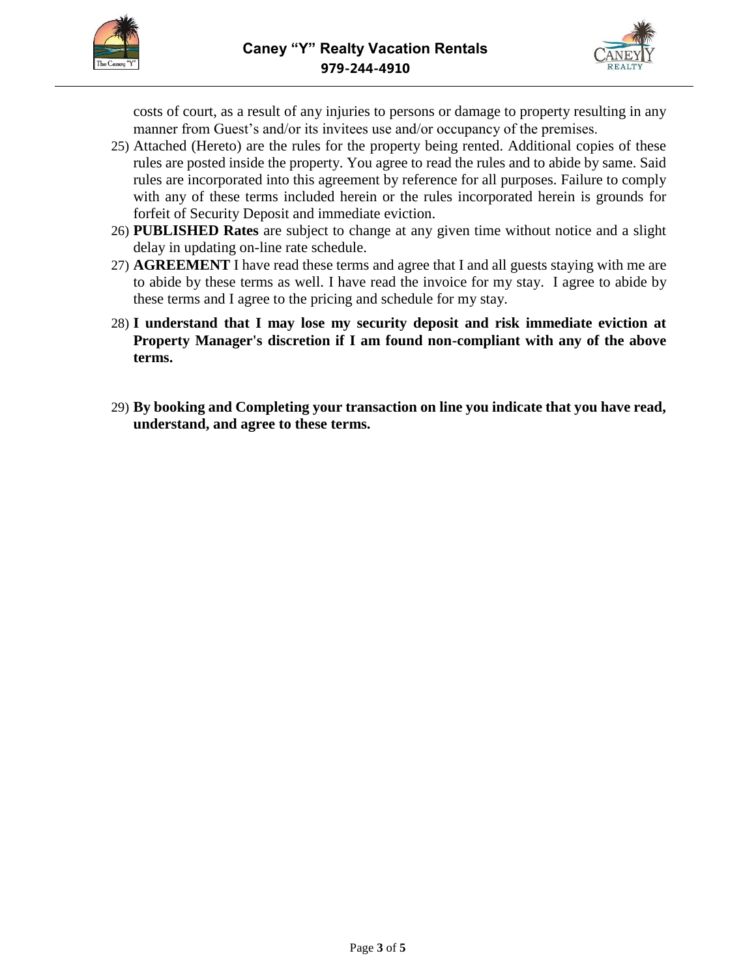



costs of court, as a result of any injuries to persons or damage to property resulting in any manner from Guest's and/or its invitees use and/or occupancy of the premises.

- 25) Attached (Hereto) are the rules for the property being rented. Additional copies of these rules are posted inside the property. You agree to read the rules and to abide by same. Said rules are incorporated into this agreement by reference for all purposes. Failure to comply with any of these terms included herein or the rules incorporated herein is grounds for forfeit of Security Deposit and immediate eviction.
- 26) **PUBLISHED Rates** are subject to change at any given time without notice and a slight delay in updating on-line rate schedule.
- 27) **AGREEMENT** I have read these terms and agree that I and all guests staying with me are to abide by these terms as well. I have read the invoice for my stay. I agree to abide by these terms and I agree to the pricing and schedule for my stay.
- 28) **I understand that I may lose my security deposit and risk immediate eviction at Property Manager's discretion if I am found non-compliant with any of the above terms.**
- 29) **By booking and Completing your transaction on line you indicate that you have read, understand, and agree to these terms.**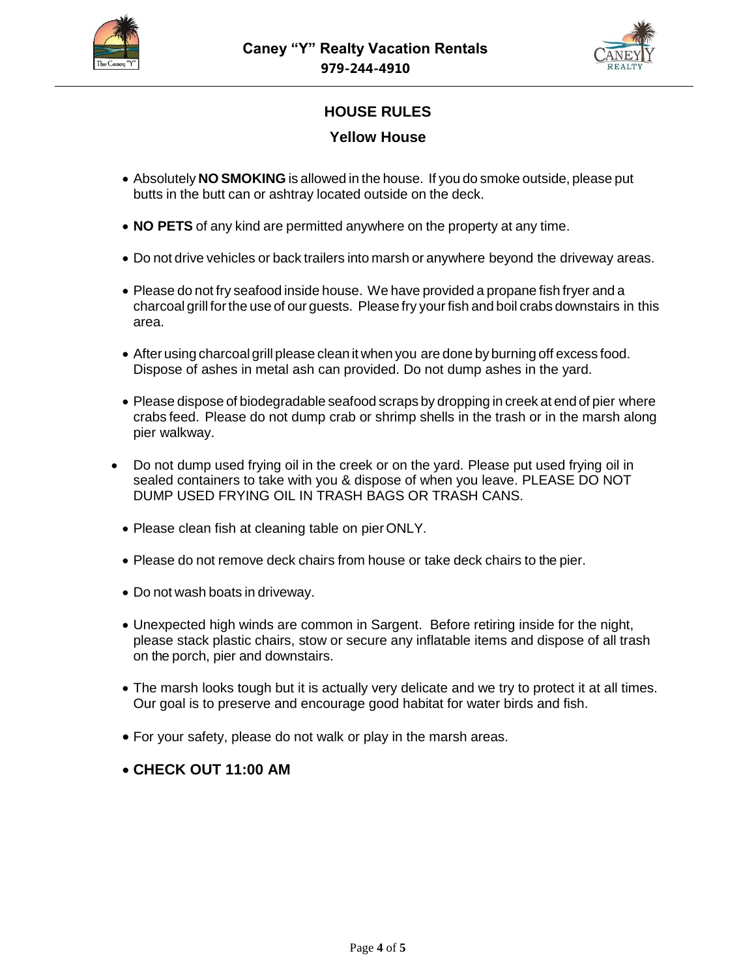



## **HOUSE RULES**

### **Yellow House**

- Absolutely **NO SMOKING** is allowed in the house. If you do smoke outside, please put butts in the butt can or ashtray located outside on the deck.
- **NO PETS** of any kind are permitted anywhere on the property at any time.
- Do not drive vehicles or back trailers into marsh or anywhere beyond the driveway areas.
- Please do not fry seafood inside house. We have provided a propane fish fryer and a charcoal grill forthe use of our guests. Please fry your fish and boil crabs downstairs in this area.
- After using charcoalgrill please clean it when you are done by burning off excess food. Dispose of ashes in metal ash can provided. Do not dump ashes in the yard.
- Please dispose of biodegradable seafood scraps by dropping in creek at end of pier where crabs feed. Please do not dump crab or shrimp shells in the trash or in the marsh along pier walkway.
- Do not dump used frying oil in the creek or on the yard. Please put used frying oil in sealed containers to take with you & dispose of when you leave. PLEASE DO NOT DUMP USED FRYING OIL IN TRASH BAGS OR TRASH CANS.
- Please clean fish at cleaning table on pierONLY.
- Please do not remove deck chairs from house or take deck chairs to the pier.
- Do not wash boats in driveway.
- Unexpected high winds are common in Sargent. Before retiring inside for the night, please stack plastic chairs, stow or secure any inflatable items and dispose of all trash on the porch, pier and downstairs.
- The marsh looks tough but it is actually very delicate and we try to protect it at all times. Our goal is to preserve and encourage good habitat for water birds and fish.
- For your safety, please do not walk or play in the marsh areas.

### • **CHECK OUT 11:00 AM**